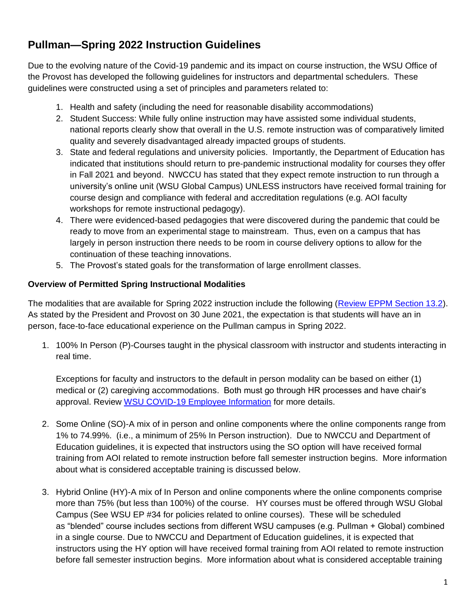# **Pullman—Spring 2022 Instruction Guidelines**

Due to the evolving nature of the Covid-19 pandemic and its impact on course instruction, the WSU Office of the Provost has developed the following guidelines for instructors and departmental schedulers. These guidelines were constructed using a set of principles and parameters related to:

- 1. Health and safety (including the need for reasonable disability accommodations)
- 2. Student Success: While fully online instruction may have assisted some individual students, national reports clearly show that overall in the U.S. remote instruction was of comparatively limited quality and severely disadvantaged already impacted groups of students.
- 3. State and federal regulations and university policies. Importantly, the Department of Education has indicated that institutions should return to pre-pandemic instructional modality for courses they offer in Fall 2021 and beyond. NWCCU has stated that they expect remote instruction to run through a university's online unit (WSU Global Campus) UNLESS instructors have received formal training for course design and compliance with federal and accreditation regulations (e.g. AOI faculty workshops for remote instructional pedagogy).
- 4. There were evidenced-based pedagogies that were discovered during the pandemic that could be ready to move from an experimental stage to mainstream. Thus, even on a campus that has largely in person instruction there needs to be room in course delivery options to allow for the continuation of these teaching innovations.
- 5. The Provost's stated goals for the transformation of large enrollment classes.

## **Overview of Permitted Spring Instructional Modalities**

The modalities that are available for Spring 2022 instruction include the following [\(Review EPPM Section 13.2\)](https://www.google.com/url?sa=t&rct=j&q=&esrc=s&source=web&cd=&ved=2ahUKEwj7jarQ79bxAhUFip4KHfeoCvUQFjAAegQIBRAD&url=https%3A%2F%2Ffacsen.wsu.edu%2Fdocuments%2F2020%2F02%2Feppm.pdf%2F&usg=AOvVaw3EnFgP7N71ScaUn46345Mr). As stated by the President and Provost on 30 June 2021, the expectation is that students will have an in person, face-to-face educational experience on the Pullman campus in Spring 2022.

1. 100% In Person (P)-Courses taught in the physical classroom with instructor and students interacting in real time.

Exceptions for faculty and instructors to the default in person modality can be based on either (1) medical or (2) caregiving accommodations. Both must go through HR processes and have chair's approval. Review [WSU COVID-19 Employee Information](https://hrs.wsu.edu/covid-19/) for more details.

- 2. Some Online (SO)-A mix of in person and online components where the online components range from 1% to 74.99%. (i.e., a minimum of 25% In Person instruction). Due to NWCCU and Department of Education guidelines, it is expected that instructors using the SO option will have received formal training from AOI related to remote instruction before fall semester instruction begins. More information about what is considered acceptable training is discussed below.
- 3. Hybrid Online (HY)-A mix of In Person and online components where the online components comprise more than 75% (but less than 100%) of the course. HY courses must be offered through WSU Global Campus (See WSU EP #34 for policies related to online courses). These will be scheduled as "blended" course includes sections from different WSU campuses (e.g. Pullman + Global) combined in a single course. Due to NWCCU and Department of Education guidelines, it is expected that instructors using the HY option will have received formal training from AOI related to remote instruction before fall semester instruction begins. More information about what is considered acceptable training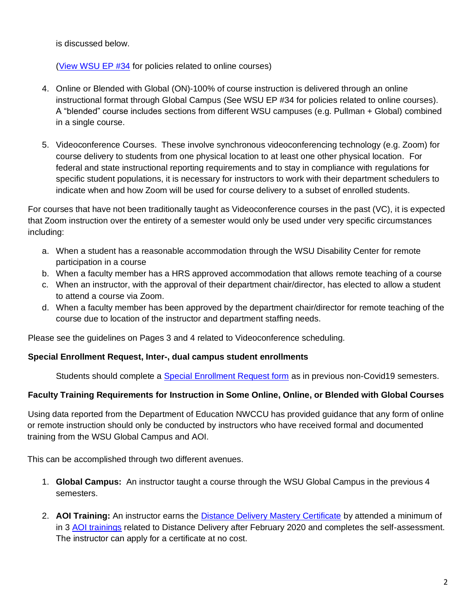is discussed below.

(View [WSU EP #34](https://policies.wsu.edu/prf/index/manuals/executive-policy-manual-contents/ep34-online-program-policy/) for policies related to online courses)

- 4. Online or Blended with Global (ON)-100% of course instruction is delivered through an online instructional format through Global Campus (See WSU EP #34 for policies related to online courses). A "blended" course includes sections from different WSU campuses (e.g. Pullman + Global) combined in a single course.
- 5. Videoconference Courses. These involve synchronous videoconferencing technology (e.g. Zoom) for course delivery to students from one physical location to at least one other physical location. For federal and state instructional reporting requirements and to stay in compliance with regulations for specific student populations, it is necessary for instructors to work with their department schedulers to indicate when and how Zoom will be used for course delivery to a subset of enrolled students.

For courses that have not been traditionally taught as Videoconference courses in the past (VC), it is expected that Zoom instruction over the entirety of a semester would only be used under very specific circumstances including:

- a. When a student has a reasonable accommodation through the WSU Disability Center for remote participation in a course
- b. When a faculty member has a HRS approved accommodation that allows remote teaching of a course
- c. When an instructor, with the approval of their department chair/director, has elected to allow a student to attend a course via Zoom.
- d. When a faculty member has been approved by the department chair/director for remote teaching of the course due to location of the instructor and department staffing needs.

Please see the guidelines on Pages 3 and 4 related to Videoconference scheduling.

## **Special Enrollment Request, Inter-, dual campus student enrollments**

Students should complete a [Special Enrollment Request form](https://registrar.wsu.edu/special-enrollment/) as in previous non-Covid19 semesters.

## **Faculty Training Requirements for Instruction in Some Online, Online, or Blended with Global Courses**

Using data reported from the Department of Education NWCCU has provided guidance that any form of online or remote instruction should only be conducted by instructors who have received formal and documented training from the WSU Global Campus and AOI.

This can be accomplished through two different avenues.

- 1. **Global Campus:** An instructor taught a course through the WSU Global Campus in the previous 4 semesters.
- 2. **AOI Training:** An instructor earns the [Distance Delivery Mastery Certificate](https://li.wsu.edu/trainings-workshops-tutorials/distance-delivery-mastery-certificate/) by attended a minimum of in 3 [AOI trainings](https://li.wsu.edu/trainings-workshops-tutorials/workshop-schedule/) related to Distance Delivery after February 2020 and completes the self-assessment. The instructor can apply for a certificate at no cost.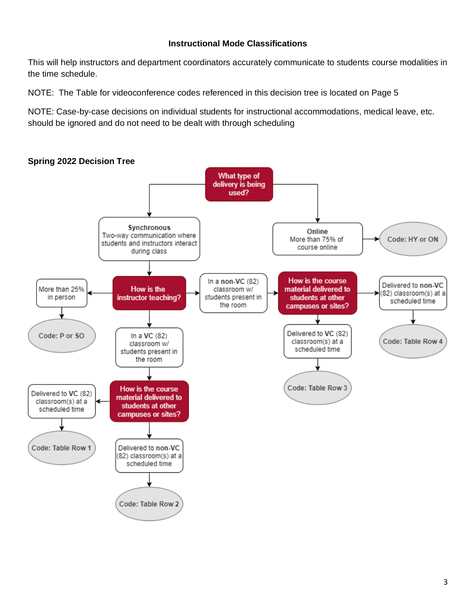#### **Instructional Mode Classifications**

This will help instructors and department coordinators accurately communicate to students course modalities in the time schedule.

NOTE: The Table for videoconference codes referenced in this decision tree is located on Page 5

NOTE: Case-by-case decisions on individual students for instructional accommodations, medical leave, etc. should be ignored and do not need to be dealt with through scheduling

#### **Spring 2022 Decision Tree**

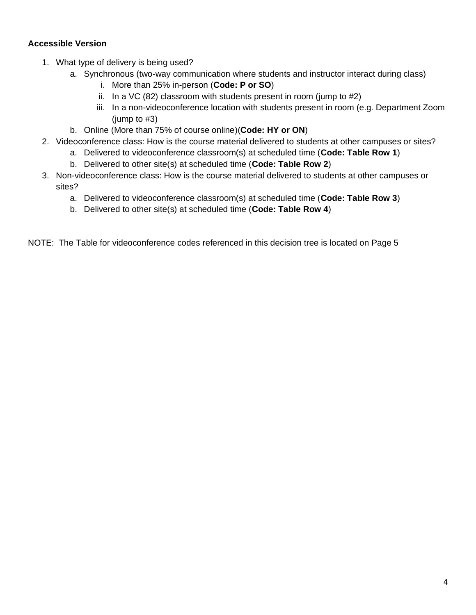## **Accessible Version**

- 1. What type of delivery is being used?
	- a. Synchronous (two-way communication where students and instructor interact during class)
		- i. More than 25% in-person (**Code: P or SO**)
		- ii. In a VC (82) classroom with students present in room (jump to #2)
		- iii. In a non-videoconference location with students present in room (e.g. Department Zoom (jump to #3)
	- b. Online (More than 75% of course online)(**Code: HY or ON**)
- 2. Videoconference class: How is the course material delivered to students at other campuses or sites?
	- a. Delivered to videoconference classroom(s) at scheduled time (**Code: Table Row 1**)
	- b. Delivered to other site(s) at scheduled time (**Code: Table Row 2**)
- 3. Non-videoconference class: How is the course material delivered to students at other campuses or sites?
	- a. Delivered to videoconference classroom(s) at scheduled time (**Code: Table Row 3**)
	- b. Delivered to other site(s) at scheduled time (**Code: Table Row 4**)

NOTE: The Table for videoconference codes referenced in this decision tree is located on Page 5